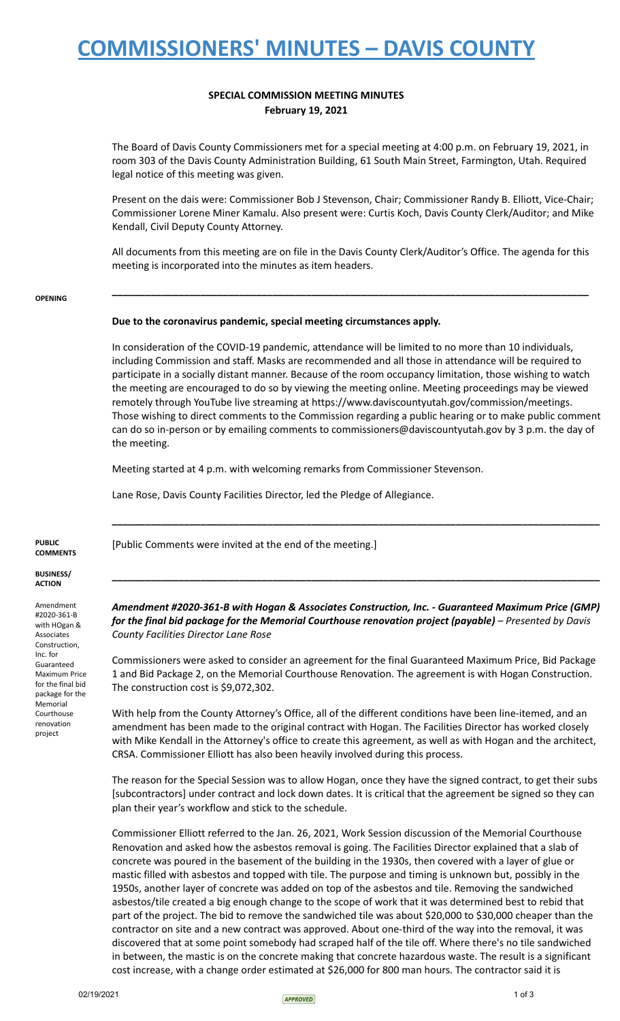# **COMMISSIONERS' MINUTES – DAVIS COUNTY**

### **SPECIAL COMMISSION MEETING MINUTES February 19, 2021**

The Board of Davis County Commissioners met for a special meeting at 4:00 p.m. on February 19, 2021, in room 303 of the Davis County Administration Building, 61 South Main Street, Farmington, Utah. Required legal notice of this meeting was given.

Present on the dais were: Commissioner Bob J Stevenson, Chair; Commissioner Randy B. Elliott, Vice-Chair; Commissioner Lorene Miner Kamalu. Also present were: Curtis Koch, Davis County Clerk/Auditor; and Mike Kendall, Civil Deputy County Attorney.

All documents from this meeting are on file in the Davis County Clerk/Auditor's Office. The agenda for this meeting is incorporated into the minutes as item headers.

**\_\_\_\_\_\_\_\_\_\_\_\_\_\_\_\_\_\_\_\_\_\_\_\_\_\_\_\_\_\_\_\_\_\_\_\_\_\_\_\_\_\_\_\_\_\_\_\_\_\_\_\_\_\_\_\_\_\_\_\_\_\_\_\_\_\_\_\_\_\_\_\_\_\_\_\_\_\_\_\_\_\_\_\_\_\_**

#### **OPENING**

### **Due to the coronavirus pandemic, special meeting circumstances apply.**

In consideration of the COVID-19 pandemic, attendance will be limited to no more than 10 individuals, including Commission and staff. Masks are recommended and all those in attendance will be required to participate in a socially distant manner. Because of the room occupancy limitation, those wishing to watch the meeting are encouraged to do so by viewing the meeting online. Meeting proceedings may be viewed remotely through YouTube live streaming at https://www.daviscountyutah.gov/commission/meetings. Those wishing to direct comments to the Commission regarding a public hearing or to make public comment can do so in-person or by emailing comments to commissioners@daviscountyutah.gov by 3 p.m. the day of the meeting.

Meeting started at 4 p.m. with welcoming remarks from Commissioner Stevenson.

Lane Rose, Davis County Facilities Director, led the Pledge of Allegiance.

[Public Comments were invited at the end of the meeting.]

**PUBLIC COMMENTS**

**BUSINESS/ ACTION**

Amendment #2020-361-B with HOgan & Associates Construction, Inc. for Guaranteed Maximum Price for the final bid package for the Memorial Courthouse renovation project

*Amendment #2020-361-B with Hogan & Associates Construction, Inc. - Guaranteed Maximum Price (GMP) for the final bid package for the Memorial Courthouse renovation project (payable) – Presented by Davis County Facilities Director Lane Rose*

**\_\_\_\_\_\_\_\_\_\_\_\_\_\_\_\_\_\_\_\_\_\_\_\_\_\_\_\_\_\_\_\_\_\_\_\_\_\_\_\_\_\_\_\_\_\_\_\_\_\_\_\_\_\_\_\_\_\_\_\_\_\_\_\_\_\_\_\_\_\_\_\_\_\_\_\_\_\_\_\_\_\_\_\_\_\_\_\_**

**\_\_\_\_\_\_\_\_\_\_\_\_\_\_\_\_\_\_\_\_\_\_\_\_\_\_\_\_\_\_\_\_\_\_\_\_\_\_\_\_\_\_\_\_\_\_\_\_\_\_\_\_\_\_\_\_\_\_\_\_\_\_\_\_\_\_\_\_\_\_\_\_\_\_\_\_\_\_\_\_\_\_\_\_\_\_\_\_**

Commissioners were asked to consider an agreement for the final Guaranteed Maximum Price, Bid Package 1 and Bid Package 2, on the Memorial Courthouse Renovation. The agreement is with Hogan Construction. The construction cost is \$9,072,302.

With help from the County Attorney's Office, all of the different conditions have been line-itemed, and an amendment has been made to the original contract with Hogan. The Facilities Director has worked closely with Mike Kendall in the Attorney's office to create this agreement, as well as with Hogan and the architect, CRSA. Commissioner Elliott has also been heavily involved during this process.

The reason for the Special Session was to allow Hogan, once they have the signed contract, to get their subs [subcontractors] under contract and lock down dates. It is critical that the agreement be signed so they can plan their year's workflow and stick to the schedule.

Commissioner Elliott referred to the Jan. 26, 2021, Work Session discussion of the Memorial Courthouse Renovation and asked how the asbestos removal is going. The Facilities Director explained that a slab of concrete was poured in the basement of the building in the 1930s, then covered with a layer of glue or mastic filled with asbestos and topped with tile. The purpose and timing is unknown but, possibly in the 1950s, another layer of concrete was added on top of the asbestos and tile. Removing the sandwiched asbestos/tile created a big enough change to the scope of work that it was determined best to rebid that part of the project. The bid to remove the sandwiched tile was about \$20,000 to \$30,000 cheaper than the contractor on site and a new contract was approved. About one-third of the way into the removal, it was discovered that at some point somebody had scraped half of the tile off. Where there's no tile sandwiched in between, the mastic is on the concrete making that concrete hazardous waste. The result is a significant cost increase, with a change order estimated at \$26,000 for 800 man hours. The contractor said it is

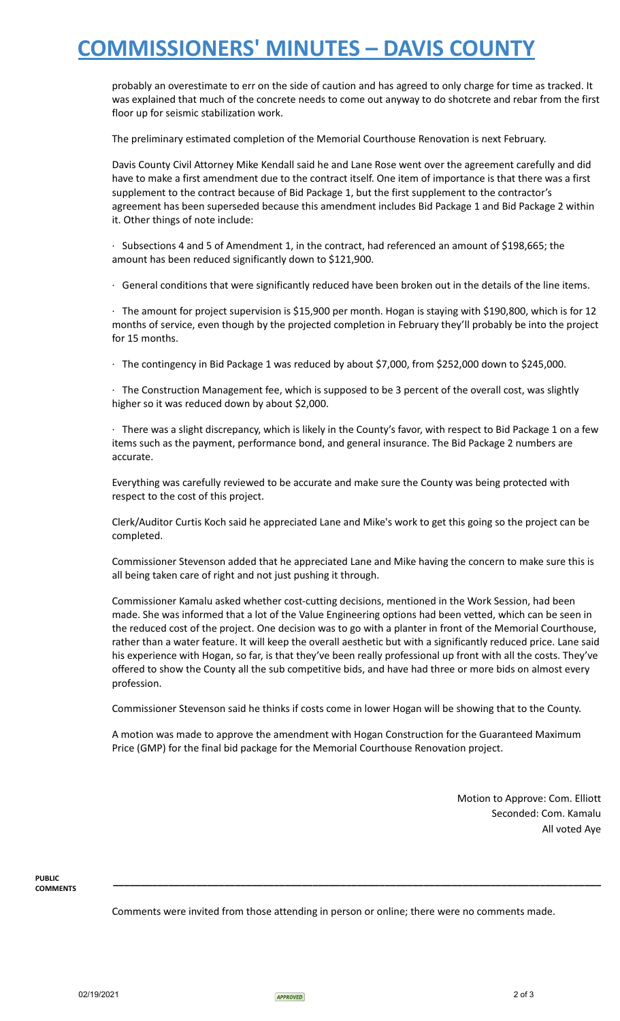### **COMMISSIONERS' MINUTES – DAVIS COUNTY**

probably an overestimate to err on the side of caution and has agreed to only charge for time as tracked. It was explained that much of the concrete needs to come out anyway to do shotcrete and rebar from the first floor up for seismic stabilization work.

The preliminary estimated completion of the Memorial Courthouse Renovation is next February.

Davis County Civil Attorney Mike Kendall said he and Lane Rose went over the agreement carefully and did have to make a first amendment due to the contract itself. One item of importance is that there was a first supplement to the contract because of Bid Package 1, but the first supplement to the contractor's agreement has been superseded because this amendment includes Bid Package 1 and Bid Package 2 within it. Other things of note include:

· Subsections 4 and 5 of Amendment 1, in the contract, had referenced an amount of \$198,665; the amount has been reduced significantly down to \$121,900.

· General conditions that were significantly reduced have been broken out in the details of the line items.

· The amount for project supervision is \$15,900 per month. Hogan is staying with \$190,800, which is for 12 months of service, even though by the projected completion in February they'll probably be into the project for 15 months.

· The contingency in Bid Package 1 was reduced by about \$7,000, from \$252,000 down to \$245,000.

· The Construction Management fee, which is supposed to be 3 percent of the overall cost, was slightly higher so it was reduced down by about \$2,000.

· There was a slight discrepancy, which is likely in the County's favor, with respect to Bid Package 1 on a few items such as the payment, performance bond, and general insurance. The Bid Package 2 numbers are accurate.

Everything was carefully reviewed to be accurate and make sure the County was being protected with respect to the cost of this project.

Clerk/Auditor Curtis Koch said he appreciated Lane and Mike's work to get this going so the project can be completed.

Commissioner Stevenson added that he appreciated Lane and Mike having the concern to make sure this is all being taken care of right and not just pushing it through.

Commissioner Kamalu asked whether cost-cutting decisions, mentioned in the Work Session, had been made. She was informed that a lot of the Value Engineering options had been vetted, which can be seen in the reduced cost of the project. One decision was to go with a planter in front of the Memorial Courthouse, rather than a water feature. It will keep the overall aesthetic but with a significantly reduced price. Lane said his experience with Hogan, so far, is that they've been really professional up front with all the costs. They've offered to show the County all the sub competitive bids, and have had three or more bids on almost every profession.

Commissioner Stevenson said he thinks if costs come in lower Hogan will be showing that to the County.

A motion was made to approve the amendment with Hogan Construction for the Guaranteed Maximum Price (GMP) for the final bid package for the Memorial Courthouse Renovation project.

> Motion to Approve: Com. Elliott Seconded: Com. Kamalu All voted Aye

**PUBLIC COMMENTS**

Comments were invited from those attending in person or online; there were no comments made.

**\_\_\_\_\_\_\_\_\_\_\_\_\_\_\_\_\_\_\_\_\_\_\_\_\_\_\_\_\_\_\_\_\_\_\_\_\_\_\_\_\_\_\_\_\_\_\_\_\_\_\_\_\_\_\_\_\_\_\_\_\_\_\_\_\_\_\_\_\_\_\_\_\_\_\_\_\_\_\_\_\_\_\_\_\_\_\_\_**